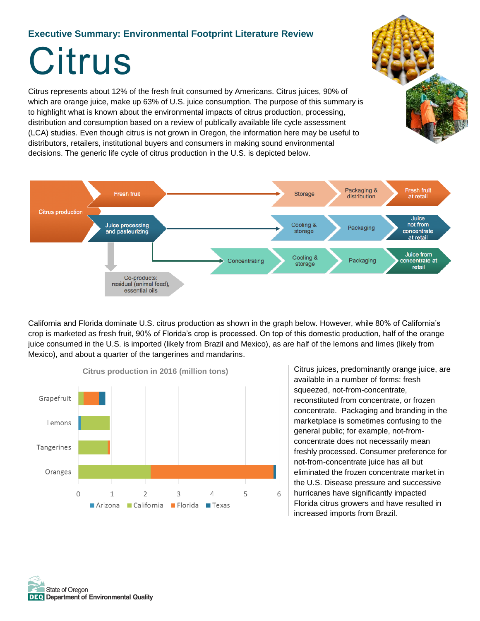#### **Executive Summary: Environmental Footprint Literature Review**

# **Citrus**

Citrus represents about 12% of the fresh fruit consumed by Americans. Citrus juices, 90% of which are orange juice, make up 63% of U.S. juice consumption. The purpose of this summary is to highlight what is known about the environmental impacts of citrus production, processing, distribution and consumption based on a review of publically available life cycle assessment (LCA) studies. Even though citrus is not grown in Oregon, the information here may be useful to distributors, retailers, institutional buyers and consumers in making sound environmental decisions. The generic life cycle of citrus production in the U.S. is depicted below.



California and Florida dominate U.S. citrus production as shown in the graph below. However, while 80% of California's crop is marketed as fresh fruit, 90% of Florida's crop is processed. On top of this domestic production, half of the orange juice consumed in the U.S. is imported (likely from Brazil and Mexico), as are half of the lemons and limes (likely from Mexico), and about a quarter of the tangerines and mandarins.



Citrus juices, predominantly orange juice, are available in a number of forms: fresh squeezed, not-from-concentrate, reconstituted from concentrate, or frozen concentrate. Packaging and branding in the marketplace is sometimes confusing to the general public; for example, not-fromconcentrate does not necessarily mean freshly processed. Consumer preference for not-from-concentrate juice has all but eliminated the frozen concentrate market in the U.S. Disease pressure and successive hurricanes have significantly impacted

Florida citrus growers and have resulted in increased imports from Brazil.